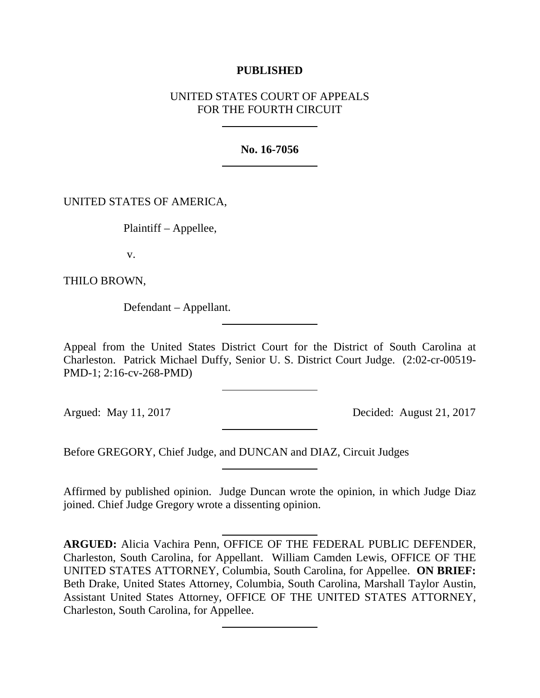# **PUBLISHED**

# UNITED STATES COURT OF APPEALS FOR THE FOURTH CIRCUIT

**No. 16-7056**

UNITED STATES OF AMERICA,

Plaintiff – Appellee,

v.

THILO BROWN,

Defendant – Appellant.

Appeal from the United States District Court for the District of South Carolina at Charleston. Patrick Michael Duffy, Senior U. S. District Court Judge. (2:02-cr-00519- PMD-1; 2:16-cv-268-PMD)

Argued: May 11, 2017 Decided: August 21, 2017

Before GREGORY, Chief Judge, and DUNCAN and DIAZ, Circuit Judges

Affirmed by published opinion. Judge Duncan wrote the opinion, in which Judge Diaz joined. Chief Judge Gregory wrote a dissenting opinion.

**ARGUED:** Alicia Vachira Penn, OFFICE OF THE FEDERAL PUBLIC DEFENDER, Charleston, South Carolina, for Appellant. William Camden Lewis, OFFICE OF THE UNITED STATES ATTORNEY, Columbia, South Carolina, for Appellee. **ON BRIEF:** Beth Drake, United States Attorney, Columbia, South Carolina, Marshall Taylor Austin, Assistant United States Attorney, OFFICE OF THE UNITED STATES ATTORNEY, Charleston, South Carolina, for Appellee.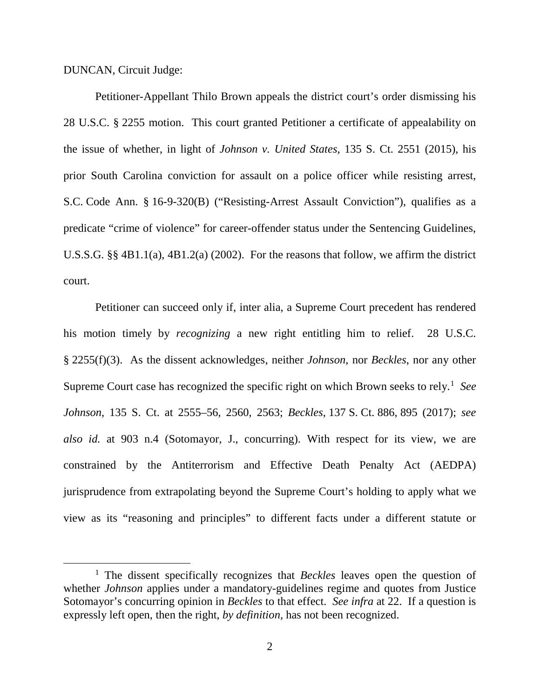DUNCAN, Circuit Judge:

Petitioner-Appellant Thilo Brown appeals the district court's order dismissing his 28 U.S.C. § 2255 motion. This court granted Petitioner a certificate of appealability on the issue of whether, in light of *Johnson v. United States*, 135 S. Ct. 2551 (2015), his prior South Carolina conviction for assault on a police officer while resisting arrest, S.C. Code Ann. § 16-9-320(B) ("Resisting-Arrest Assault Conviction"), qualifies as a predicate "crime of violence" for career-offender status under the Sentencing Guidelines, U.S.S.G. §§ 4B1.1(a), 4B1.2(a) (2002). For the reasons that follow, we affirm the district court.

Petitioner can succeed only if, inter alia, a Supreme Court precedent has rendered his motion timely by *recognizing* a new right entitling him to relief. 28 U.S.C. § 2255(f)(3). As the dissent acknowledges, neither *Johnson*, nor *Beckles*, nor any other Supreme Court case has recognized the specific right on which Brown seeks to rely. [1](#page-1-0) *See Johnson*, 135 S. Ct. at 2555–56, 2560, 2563; *Beckles*, 137 S. Ct. 886, 895 (2017); *see also id.* at 903 n.4 (Sotomayor, J., concurring). With respect for its view, we are constrained by the Antiterrorism and Effective Death Penalty Act (AEDPA) jurisprudence from extrapolating beyond the Supreme Court's holding to apply what we view as its "reasoning and principles" to different facts under a different statute or

<span id="page-1-0"></span> <sup>1</sup> The dissent specifically recognizes that *Beckles* leaves open the question of whether *Johnson* applies under a mandatory-guidelines regime and quotes from Justice Sotomayor's concurring opinion in *Beckles* to that effect. *See infra* at 22. If a question is expressly left open, then the right, *by definition*, has not been recognized.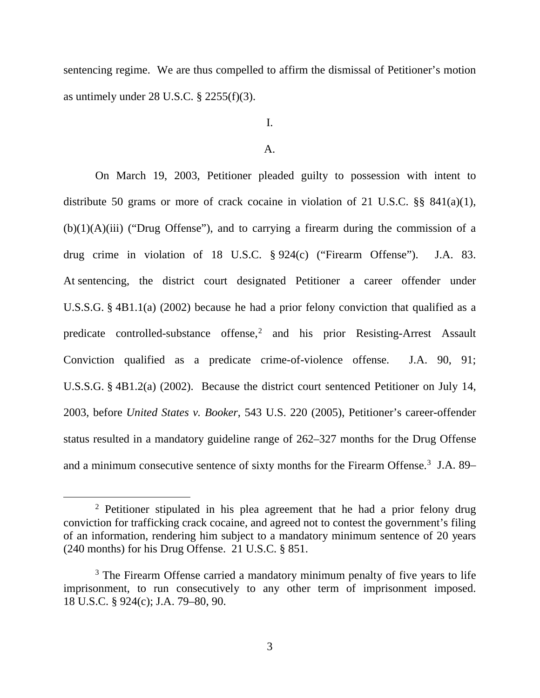sentencing regime. We are thus compelled to affirm the dismissal of Petitioner's motion as untimely under 28 U.S.C.  $\S$  2255(f)(3).

I.

#### A.

On March 19, 2003, Petitioner pleaded guilty to possession with intent to distribute 50 grams or more of crack cocaine in violation of 21 U.S.C. §§ 841(a)(1),  $(b)(1)(A)(iii)$  ("Drug Offense"), and to carrying a firearm during the commission of a drug crime in violation of 18 U.S.C. § 924(c) ("Firearm Offense"). J.A. 83. At sentencing, the district court designated Petitioner a career offender under U.S.S.G. § 4B1.1(a) (2002) because he had a prior felony conviction that qualified as a predicate controlled-substance offense, [2](#page-2-0) and his prior Resisting-Arrest Assault Conviction qualified as a predicate crime-of-violence offense. J.A. 90, 91; U.S.S.G. § 4B1.2(a) (2002). Because the district court sentenced Petitioner on July 14, 2003, before *United States v. Booker*, 543 U.S. 220 (2005), Petitioner's career-offender status resulted in a mandatory guideline range of 262–327 months for the Drug Offense and a minimum consecutive sentence of sixty months for the Firearm Offense.<sup>3</sup> J.A. 89–

<span id="page-2-0"></span><sup>&</sup>lt;sup>2</sup> Petitioner stipulated in his plea agreement that he had a prior felony drug conviction for trafficking crack cocaine, and agreed not to contest the government's filing of an information, rendering him subject to a mandatory minimum sentence of 20 years (240 months) for his Drug Offense. 21 U.S.C. § 851.

<span id="page-2-1"></span><sup>&</sup>lt;sup>3</sup> The Firearm Offense carried a mandatory minimum penalty of five years to life imprisonment, to run consecutively to any other term of imprisonment imposed. 18 U.S.C. § 924(c); J.A. 79–80, 90.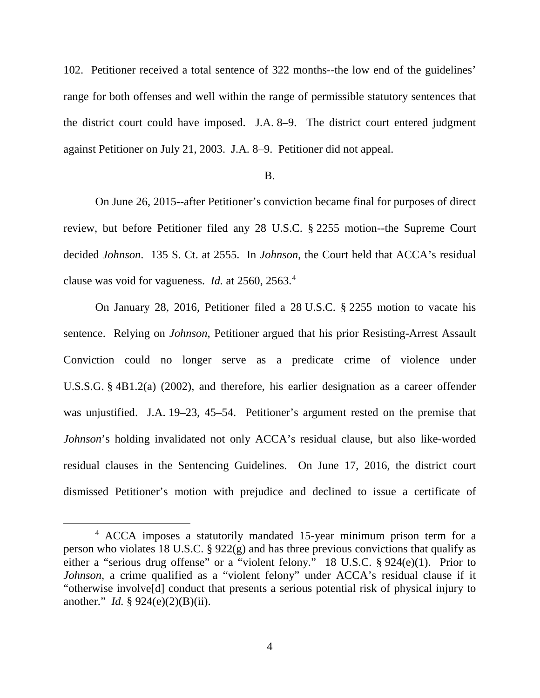102. Petitioner received a total sentence of 322 months--the low end of the guidelines' range for both offenses and well within the range of permissible statutory sentences that the district court could have imposed. J.A. 8–9. The district court entered judgment against Petitioner on July 21, 2003. J.A. 8–9. Petitioner did not appeal.

#### B.

On June 26, 2015--after Petitioner's conviction became final for purposes of direct review, but before Petitioner filed any 28 U.S.C. § 2255 motion--the Supreme Court decided *Johnson*. 135 S. Ct. at 2555. In *Johnson*, the Court held that ACCA's residual clause was void for vagueness. *Id.* at 2560, 2563.[4](#page-3-0)

On January 28, 2016, Petitioner filed a 28 U.S.C. § 2255 motion to vacate his sentence. Relying on *Johnson*, Petitioner argued that his prior Resisting-Arrest Assault Conviction could no longer serve as a predicate crime of violence under U.S.S.G. § 4B1.2(a) (2002), and therefore, his earlier designation as a career offender was unjustified. J.A. 19–23, 45–54. Petitioner's argument rested on the premise that *Johnson*'s holding invalidated not only ACCA's residual clause, but also like-worded residual clauses in the Sentencing Guidelines. On June 17, 2016, the district court dismissed Petitioner's motion with prejudice and declined to issue a certificate of

<span id="page-3-0"></span> <sup>4</sup> ACCA imposes a statutorily mandated 15-year minimum prison term for a person who violates 18 U.S.C. § 922(g) and has three previous convictions that qualify as either a "serious drug offense" or a "violent felony." 18 U.S.C. § 924(e)(1). Prior to *Johnson*, a crime qualified as a "violent felony" under ACCA's residual clause if it "otherwise involve[d] conduct that presents a serious potential risk of physical injury to another." *Id.* § 924(e)(2)(B)(ii).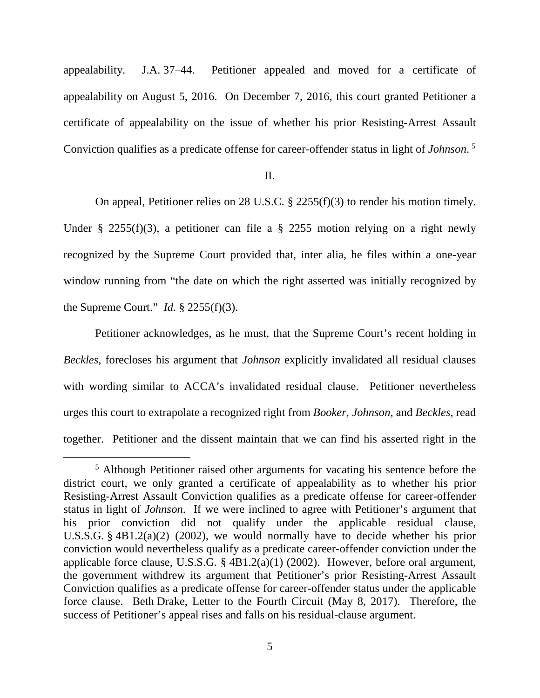appealability. J.A. 37–44. Petitioner appealed and moved for a certificate of appealability on August 5, 2016. On December 7, 2016, this court granted Petitioner a certificate of appealability on the issue of whether his prior Resisting-Arrest Assault Conviction qualifies as a predicate offense for career-offender status in light of *Johnson*. [5](#page-4-0)

#### II.

On appeal, Petitioner relies on 28 U.S.C. § 2255(f)(3) to render his motion timely. Under § 2255(f)(3), a petitioner can file a § 2255 motion relying on a right newly recognized by the Supreme Court provided that, inter alia, he files within a one-year window running from "the date on which the right asserted was initially recognized by the Supreme Court." *Id.* § 2255(f)(3).

Petitioner acknowledges, as he must, that the Supreme Court's recent holding in *Beckles*, forecloses his argument that *Johnson* explicitly invalidated all residual clauses with wording similar to ACCA's invalidated residual clause. Petitioner nevertheless urges this court to extrapolate a recognized right from *Booker*, *Johnson*, and *Beckles*, read together. Petitioner and the dissent maintain that we can find his asserted right in the

<span id="page-4-0"></span> <sup>5</sup> Although Petitioner raised other arguments for vacating his sentence before the district court, we only granted a certificate of appealability as to whether his prior Resisting-Arrest Assault Conviction qualifies as a predicate offense for career-offender status in light of *Johnson*. If we were inclined to agree with Petitioner's argument that his prior conviction did not qualify under the applicable residual clause, U.S.S.G. § 4B1.2(a)(2) (2002), we would normally have to decide whether his prior conviction would nevertheless qualify as a predicate career-offender conviction under the applicable force clause, U.S.S.G. § 4B1.2(a)(1) (2002). However, before oral argument, the government withdrew its argument that Petitioner's prior Resisting-Arrest Assault Conviction qualifies as a predicate offense for career-offender status under the applicable force clause. Beth Drake, Letter to the Fourth Circuit (May 8, 2017). Therefore, the success of Petitioner's appeal rises and falls on his residual-clause argument.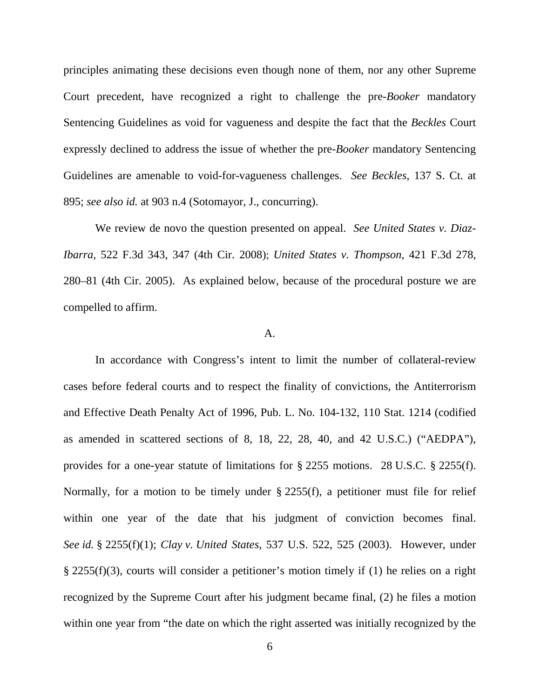principles animating these decisions even though none of them, nor any other Supreme Court precedent, have recognized a right to challenge the pre-*Booker* mandatory Sentencing Guidelines as void for vagueness and despite the fact that the *Beckles* Court expressly declined to address the issue of whether the pre-*Booker* mandatory Sentencing Guidelines are amenable to void-for-vagueness challenges. *See Beckles*, 137 S. Ct. at 895; *see also id.* at 903 n.4 (Sotomayor, J., concurring).

We review de novo the question presented on appeal. *See United States v. Diaz-Ibarra*, 522 F.3d 343, 347 (4th Cir. 2008); *United States v. Thompson*, 421 F.3d 278, 280–81 (4th Cir. 2005). As explained below, because of the procedural posture we are compelled to affirm.

#### A.

In accordance with Congress's intent to limit the number of collateral-review cases before federal courts and to respect the finality of convictions, the Antiterrorism and Effective Death Penalty Act of 1996, Pub. L. No. 104-132, 110 Stat. 1214 (codified as amended in scattered sections of 8, 18, 22, 28, 40, and 42 U.S.C.) ("AEDPA"), provides for a one-year statute of limitations for § 2255 motions. 28 U.S.C. § 2255(f). Normally, for a motion to be timely under § 2255(f), a petitioner must file for relief within one year of the date that his judgment of conviction becomes final. *See id.* § 2255(f)(1); *Clay v. United States*, 537 U.S. 522, 525 (2003). However, under § 2255(f)(3), courts will consider a petitioner's motion timely if (1) he relies on a right recognized by the Supreme Court after his judgment became final, (2) he files a motion within one year from "the date on which the right asserted was initially recognized by the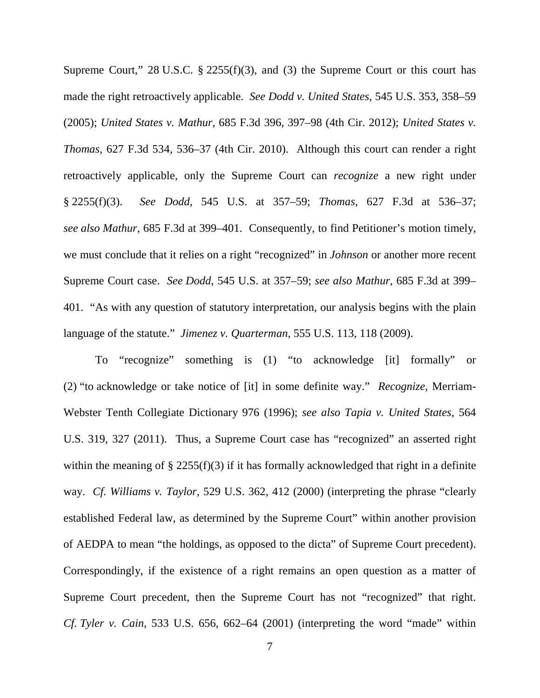Supreme Court," 28 U.S.C.  $\S$  2255(f)(3), and (3) the Supreme Court or this court has made the right retroactively applicable. *See Dodd v. United States*, 545 U.S. 353, 358–59 (2005); *United States v. Mathur*, 685 F.3d 396, 397–98 (4th Cir. 2012); *United States v. Thomas*, 627 F.3d 534, 536–37 (4th Cir. 2010). Although this court can render a right retroactively applicable, only the Supreme Court can *recognize* a new right under § 2255(f)(3). *See Dodd*, 545 U.S. at 357–59; *Thomas*, 627 F.3d at 536–37; *see also Mathur*, 685 F.3d at 399–401. Consequently, to find Petitioner's motion timely, we must conclude that it relies on a right "recognized" in *Johnson* or another more recent Supreme Court case. *See Dodd*, 545 U.S. at 357–59; *see also Mathur*, 685 F.3d at 399– 401. "As with any question of statutory interpretation, our analysis begins with the plain language of the statute." *Jimenez v. Quarterman*, 555 U.S. 113, 118 (2009).

To "recognize" something is (1) "to acknowledge [it] formally" or (2) "to acknowledge or take notice of [it] in some definite way." *Recognize*, Merriam-Webster Tenth Collegiate Dictionary 976 (1996); *see also Tapia v. United States*, 564 U.S. 319, 327 (2011). Thus, a Supreme Court case has "recognized" an asserted right within the meaning of  $\S 2255(f)(3)$  if it has formally acknowledged that right in a definite way. *Cf. Williams v. Taylor*, 529 U.S. 362, 412 (2000) (interpreting the phrase "clearly established Federal law, as determined by the Supreme Court" within another provision of AEDPA to mean "the holdings, as opposed to the dicta" of Supreme Court precedent). Correspondingly, if the existence of a right remains an open question as a matter of Supreme Court precedent, then the Supreme Court has not "recognized" that right. *Cf. Tyler v. Cain*, 533 U.S. 656, 662–64 (2001) (interpreting the word "made" within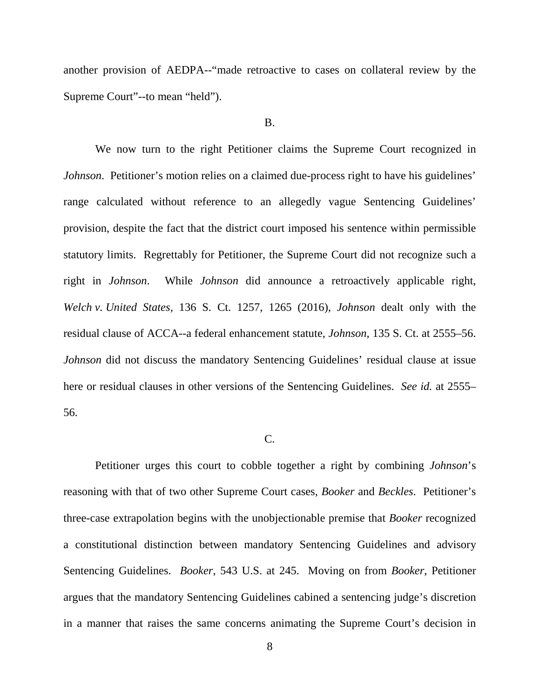another provision of AEDPA--"made retroactive to cases on collateral review by the Supreme Court"--to mean "held").

#### B.

We now turn to the right Petitioner claims the Supreme Court recognized in *Johnson*. Petitioner's motion relies on a claimed due-process right to have his guidelines' range calculated without reference to an allegedly vague Sentencing Guidelines' provision, despite the fact that the district court imposed his sentence within permissible statutory limits. Regrettably for Petitioner, the Supreme Court did not recognize such a right in *Johnson*. While *Johnson* did announce a retroactively applicable right, *Welch v. United States*, 136 S. Ct. 1257, 1265 (2016), *Johnson* dealt only with the residual clause of ACCA--a federal enhancement statute, *Johnson*, 135 S. Ct. at 2555–56. *Johnson* did not discuss the mandatory Sentencing Guidelines' residual clause at issue here or residual clauses in other versions of the Sentencing Guidelines. *See id.* at 2555– 56.

#### C.

Petitioner urges this court to cobble together a right by combining *Johnson*'s reasoning with that of two other Supreme Court cases, *Booker* and *Beckles*. Petitioner's three-case extrapolation begins with the unobjectionable premise that *Booker* recognized a constitutional distinction between mandatory Sentencing Guidelines and advisory Sentencing Guidelines. *Booker*, 543 U.S. at 245. Moving on from *Booker*, Petitioner argues that the mandatory Sentencing Guidelines cabined a sentencing judge's discretion in a manner that raises the same concerns animating the Supreme Court's decision in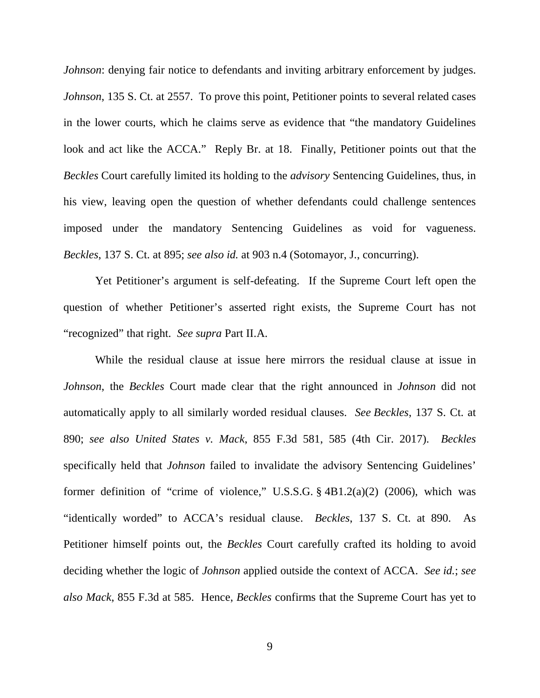*Johnson*: denying fair notice to defendants and inviting arbitrary enforcement by judges. *Johnson*, 135 S. Ct. at 2557. To prove this point, Petitioner points to several related cases in the lower courts, which he claims serve as evidence that "the mandatory Guidelines look and act like the ACCA." Reply Br. at 18. Finally, Petitioner points out that the *Beckles* Court carefully limited its holding to the *advisory* Sentencing Guidelines, thus, in his view, leaving open the question of whether defendants could challenge sentences imposed under the mandatory Sentencing Guidelines as void for vagueness. *Beckles*, 137 S. Ct. at 895; *see also id.* at 903 n.4 (Sotomayor, J., concurring).

Yet Petitioner's argument is self-defeating. If the Supreme Court left open the question of whether Petitioner's asserted right exists, the Supreme Court has not "recognized" that right. *See supra* Part II.A.

While the residual clause at issue here mirrors the residual clause at issue in *Johnson*, the *Beckles* Court made clear that the right announced in *Johnson* did not automatically apply to all similarly worded residual clauses. *See Beckles*, 137 S. Ct. at 890; *see also United States v. Mack*, 855 F.3d 581, 585 (4th Cir. 2017). *Beckles*  specifically held that *Johnson* failed to invalidate the advisory Sentencing Guidelines' former definition of "crime of violence," U.S.S.G.  $\S$  4B1.2(a)(2) (2006), which was "identically worded" to ACCA's residual clause. *Beckles*, 137 S. Ct. at 890. As Petitioner himself points out, the *Beckles* Court carefully crafted its holding to avoid deciding whether the logic of *Johnson* applied outside the context of ACCA. *See id.*; *see also Mack*, 855 F.3d at 585. Hence, *Beckles* confirms that the Supreme Court has yet to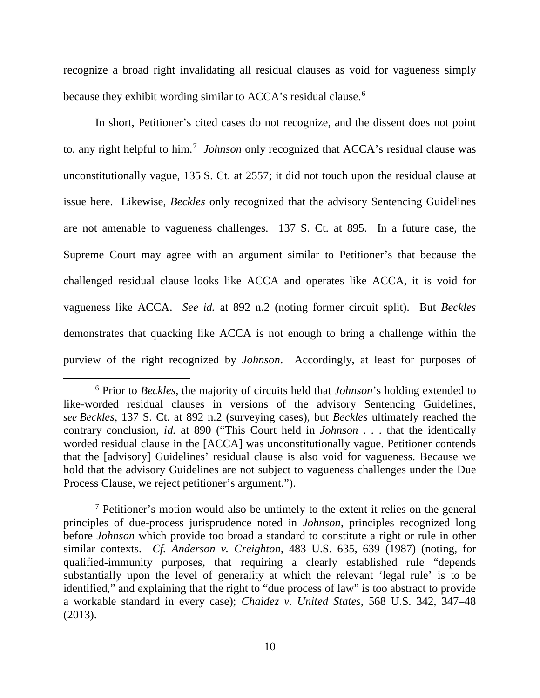recognize a broad right invalidating all residual clauses as void for vagueness simply because they exhibit wording similar to ACCA's residual clause. [6](#page-9-0)

In short, Petitioner's cited cases do not recognize, and the dissent does not point to, any right helpful to him.<sup>[7](#page-9-1)</sup> Johnson only recognized that ACCA's residual clause was unconstitutionally vague, 135 S. Ct. at 2557; it did not touch upon the residual clause at issue here. Likewise, *Beckles* only recognized that the advisory Sentencing Guidelines are not amenable to vagueness challenges. 137 S. Ct. at 895. In a future case, the Supreme Court may agree with an argument similar to Petitioner's that because the challenged residual clause looks like ACCA and operates like ACCA, it is void for vagueness like ACCA. *See id.* at 892 n.2 (noting former circuit split). But *Beckles*  demonstrates that quacking like ACCA is not enough to bring a challenge within the purview of the right recognized by *Johnson*. Accordingly, at least for purposes of

<span id="page-9-0"></span> <sup>6</sup> Prior to *Beckles*, the majority of circuits held that *Johnson*'s holding extended to like-worded residual clauses in versions of the advisory Sentencing Guidelines, *see Beckles*, 137 S. Ct. at 892 n.2 (surveying cases), but *Beckles* ultimately reached the contrary conclusion, *id.* at 890 ("This Court held in *Johnson* . . . that the identically worded residual clause in the [ACCA] was unconstitutionally vague. Petitioner contends that the [advisory] Guidelines' residual clause is also void for vagueness. Because we hold that the advisory Guidelines are not subject to vagueness challenges under the Due Process Clause, we reject petitioner's argument.").

<span id="page-9-1"></span> $<sup>7</sup>$  Petitioner's motion would also be untimely to the extent it relies on the general</sup> principles of due-process jurisprudence noted in *Johnson*, principles recognized long before *Johnson* which provide too broad a standard to constitute a right or rule in other similar contexts. *Cf. Anderson v. Creighton*, 483 U.S. 635, 639 (1987) (noting, for qualified-immunity purposes, that requiring a clearly established rule "depends substantially upon the level of generality at which the relevant 'legal rule' is to be identified," and explaining that the right to "due process of law" is too abstract to provide a workable standard in every case); *Chaidez v. United States*, 568 U.S. 342, 347–48 (2013).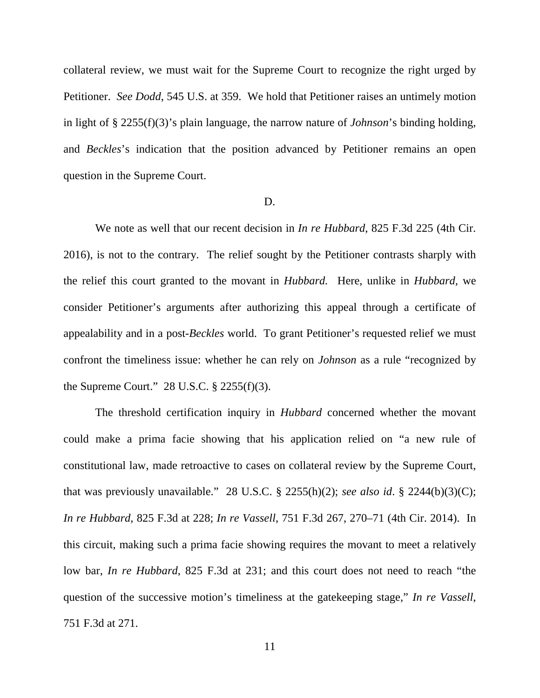collateral review, we must wait for the Supreme Court to recognize the right urged by Petitioner. *See Dodd*, 545 U.S. at 359. We hold that Petitioner raises an untimely motion in light of § 2255(f)(3)'s plain language, the narrow nature of *Johnson*'s binding holding, and *Beckles*'s indication that the position advanced by Petitioner remains an open question in the Supreme Court.

### D.

We note as well that our recent decision in *In re Hubbard*, 825 F.3d 225 (4th Cir. 2016), is not to the contrary. The relief sought by the Petitioner contrasts sharply with the relief this court granted to the movant in *Hubbard.* Here, unlike in *Hubbard,* we consider Petitioner's arguments after authorizing this appeal through a certificate of appealability and in a post-*Beckles* world. To grant Petitioner's requested relief we must confront the timeliness issue: whether he can rely on *Johnson* as a rule "recognized by the Supreme Court." 28 U.S.C. § 2255(f)(3).

The threshold certification inquiry in *Hubbard* concerned whether the movant could make a prima facie showing that his application relied on "a new rule of constitutional law, made retroactive to cases on collateral review by the Supreme Court, that was previously unavailable." 28 U.S.C.  $\S$  2255(h)(2); *see also id.*  $\S$  2244(b)(3)(C); *In re Hubbard*, 825 F.3d at 228; *In re Vassell*, 751 F.3d 267, 270–71 (4th Cir. 2014). In this circuit, making such a prima facie showing requires the movant to meet a relatively low bar, *In re Hubbard*, 825 F.3d at 231; and this court does not need to reach "the question of the successive motion's timeliness at the gatekeeping stage," *In re Vassell*, 751 F.3d at 271.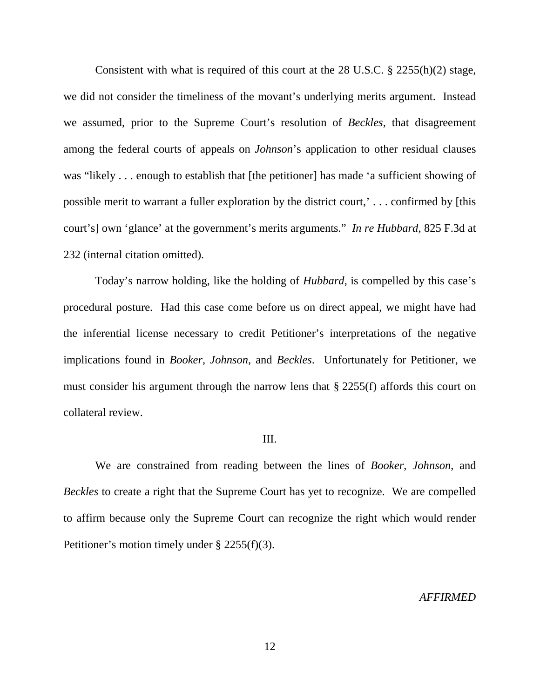Consistent with what is required of this court at the 28 U.S.C. § 2255(h)(2) stage, we did not consider the timeliness of the movant's underlying merits argument. Instead we assumed, prior to the Supreme Court's resolution of *Beckles*, that disagreement among the federal courts of appeals on *Johnson*'s application to other residual clauses was "likely . . . enough to establish that [the petitioner] has made 'a sufficient showing of possible merit to warrant a fuller exploration by the district court,' . . . confirmed by [this court's] own 'glance' at the government's merits arguments." *In re Hubbard*, 825 F.3d at 232 (internal citation omitted).

Today's narrow holding, like the holding of *Hubbard*, is compelled by this case's procedural posture. Had this case come before us on direct appeal, we might have had the inferential license necessary to credit Petitioner's interpretations of the negative implications found in *Booker*, *Johnson*, and *Beckles*. Unfortunately for Petitioner, we must consider his argument through the narrow lens that § 2255(f) affords this court on collateral review.

### III.

We are constrained from reading between the lines of *Booker*, *Johnson*, and *Beckles* to create a right that the Supreme Court has yet to recognize.We are compelled to affirm because only the Supreme Court can recognize the right which would render Petitioner's motion timely under § 2255(f)(3).

#### *AFFIRMED*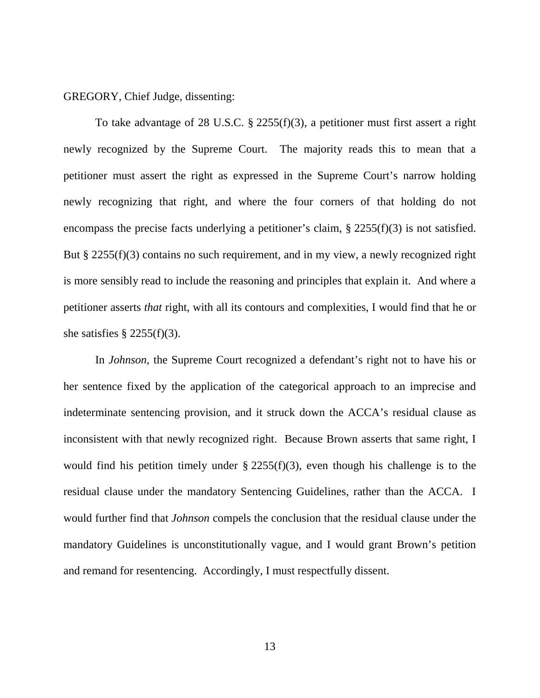GREGORY, Chief Judge, dissenting:

To take advantage of 28 U.S.C. § 2255(f)(3), a petitioner must first assert a right newly recognized by the Supreme Court. The majority reads this to mean that a petitioner must assert the right as expressed in the Supreme Court's narrow holding newly recognizing that right, and where the four corners of that holding do not encompass the precise facts underlying a petitioner's claim, § 2255(f)(3) is not satisfied. But § 2255(f)(3) contains no such requirement, and in my view, a newly recognized right is more sensibly read to include the reasoning and principles that explain it. And where a petitioner asserts *that* right, with all its contours and complexities, I would find that he or she satisfies  $\S$  2255(f)(3).

In *Johnson*, the Supreme Court recognized a defendant's right not to have his or her sentence fixed by the application of the categorical approach to an imprecise and indeterminate sentencing provision, and it struck down the ACCA's residual clause as inconsistent with that newly recognized right. Because Brown asserts that same right, I would find his petition timely under  $\S 2255(f)(3)$ , even though his challenge is to the residual clause under the mandatory Sentencing Guidelines, rather than the ACCA. I would further find that *Johnson* compels the conclusion that the residual clause under the mandatory Guidelines is unconstitutionally vague, and I would grant Brown's petition and remand for resentencing. Accordingly, I must respectfully dissent.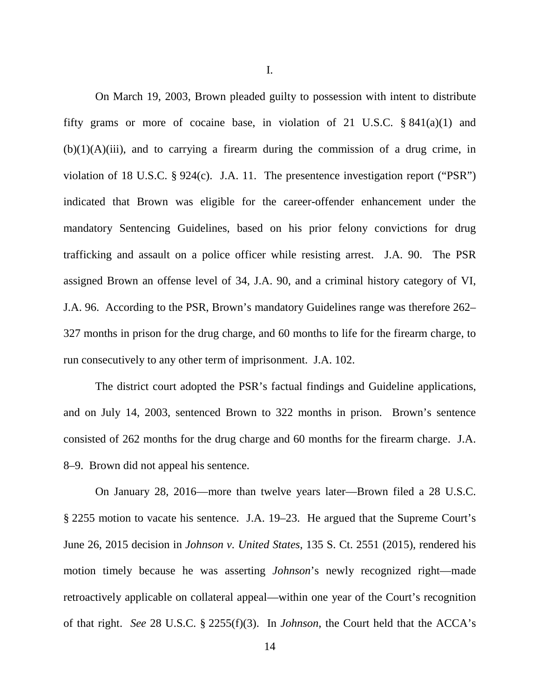On March 19, 2003, Brown pleaded guilty to possession with intent to distribute fifty grams or more of cocaine base, in violation of 21 U.S.C.  $\S 841(a)(1)$  and  $(b)(1)(A)(iii)$ , and to carrying a firearm during the commission of a drug crime, in violation of 18 U.S.C. § 924(c). J.A. 11. The presentence investigation report ("PSR") indicated that Brown was eligible for the career-offender enhancement under the mandatory Sentencing Guidelines, based on his prior felony convictions for drug trafficking and assault on a police officer while resisting arrest. J.A. 90. The PSR assigned Brown an offense level of 34, J.A. 90, and a criminal history category of VI, J.A. 96. According to the PSR, Brown's mandatory Guidelines range was therefore 262– 327 months in prison for the drug charge, and 60 months to life for the firearm charge, to run consecutively to any other term of imprisonment. J.A. 102.

The district court adopted the PSR's factual findings and Guideline applications, and on July 14, 2003, sentenced Brown to 322 months in prison. Brown's sentence consisted of 262 months for the drug charge and 60 months for the firearm charge. J.A. 8–9. Brown did not appeal his sentence.

On January 28, 2016—more than twelve years later—Brown filed a 28 U.S.C. § 2255 motion to vacate his sentence. J.A. 19–23. He argued that the Supreme Court's June 26, 2015 decision in *Johnson v. United States*, 135 S. Ct. 2551 (2015), rendered his motion timely because he was asserting *Johnson*'s newly recognized right—made retroactively applicable on collateral appeal—within one year of the Court's recognition of that right. *See* 28 U.S.C. § 2255(f)(3). In *Johnson*, the Court held that the ACCA's

I.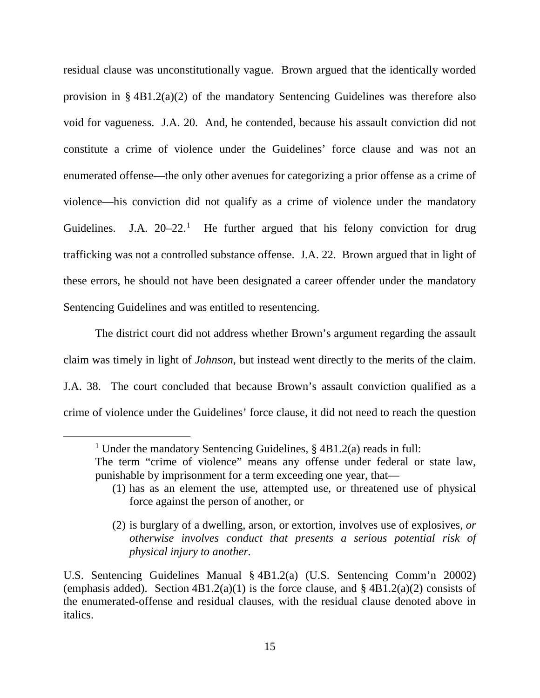residual clause was unconstitutionally vague. Brown argued that the identically worded provision in  $\S$  4B1.2(a)(2) of the mandatory Sentencing Guidelines was therefore also void for vagueness. J.A. 20. And, he contended, because his assault conviction did not constitute a crime of violence under the Guidelines' force clause and was not an enumerated offense—the only other avenues for categorizing a prior offense as a crime of violence—his conviction did not qualify as a crime of violence under the mandatory Guidelines. J.A.  $20-22$ <sup>[1](#page-14-0)</sup> He further argued that his felony conviction for drug trafficking was not a controlled substance offense. J.A. 22. Brown argued that in light of these errors, he should not have been designated a career offender under the mandatory Sentencing Guidelines and was entitled to resentencing.

The district court did not address whether Brown's argument regarding the assault claim was timely in light of *Johnson*, but instead went directly to the merits of the claim. J.A. 38. The court concluded that because Brown's assault conviction qualified as a crime of violence under the Guidelines' force clause, it did not need to reach the question

<span id="page-14-0"></span><sup>&</sup>lt;sup>1</sup> Under the mandatory Sentencing Guidelines,  $\S$  4B1.2(a) reads in full:

The term "crime of violence" means any offense under federal or state law, punishable by imprisonment for a term exceeding one year, that—

<sup>(1)</sup> has as an element the use, attempted use, or threatened use of physical force against the person of another, or

<sup>(2)</sup> is burglary of a dwelling, arson, or extortion, involves use of explosives, *or otherwise involves conduct that presents a serious potential risk of physical injury to another.*

U.S. Sentencing Guidelines Manual § 4B1.2(a) (U.S. Sentencing Comm'n 20002) (emphasis added). Section  $4B1.2(a)(1)$  is the force clause, and §  $4B1.2(a)(2)$  consists of the enumerated-offense and residual clauses, with the residual clause denoted above in italics.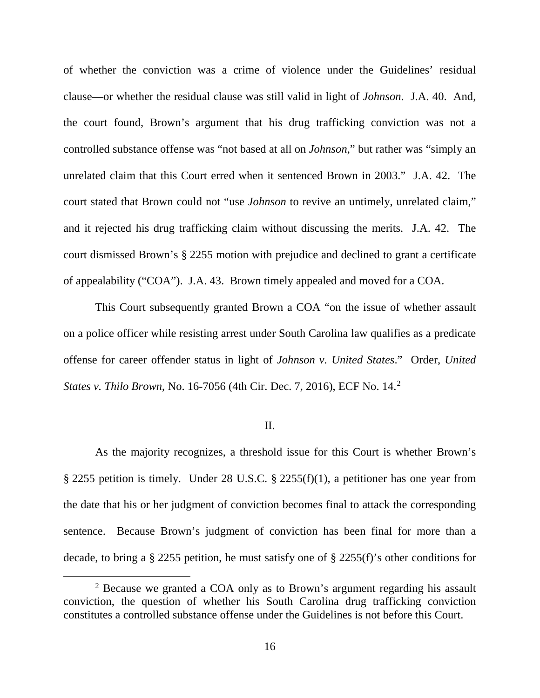of whether the conviction was a crime of violence under the Guidelines' residual clause—or whether the residual clause was still valid in light of *Johnson*. J.A. 40. And, the court found, Brown's argument that his drug trafficking conviction was not a controlled substance offense was "not based at all on *Johnson*," but rather was "simply an unrelated claim that this Court erred when it sentenced Brown in 2003." J.A. 42. The court stated that Brown could not "use *Johnson* to revive an untimely, unrelated claim," and it rejected his drug trafficking claim without discussing the merits. J.A. 42. The court dismissed Brown's § 2255 motion with prejudice and declined to grant a certificate of appealability ("COA"). J.A. 43. Brown timely appealed and moved for a COA.

This Court subsequently granted Brown a COA "on the issue of whether assault on a police officer while resisting arrest under South Carolina law qualifies as a predicate offense for career offender status in light of *Johnson v. United States*." Order, *United States v. Thilo Brown*, No. 16-7056 (4th Cir. Dec. 7, 2016), ECF No. 14.[2](#page-15-0)

#### II.

As the majority recognizes, a threshold issue for this Court is whether Brown's § 2255 petition is timely. Under 28 U.S.C. § 2255(f)(1), a petitioner has one year from the date that his or her judgment of conviction becomes final to attack the corresponding sentence. Because Brown's judgment of conviction has been final for more than a decade, to bring a § 2255 petition, he must satisfy one of § 2255(f)'s other conditions for

<span id="page-15-0"></span><sup>&</sup>lt;sup>2</sup> Because we granted a COA only as to Brown's argument regarding his assault conviction, the question of whether his South Carolina drug trafficking conviction constitutes a controlled substance offense under the Guidelines is not before this Court.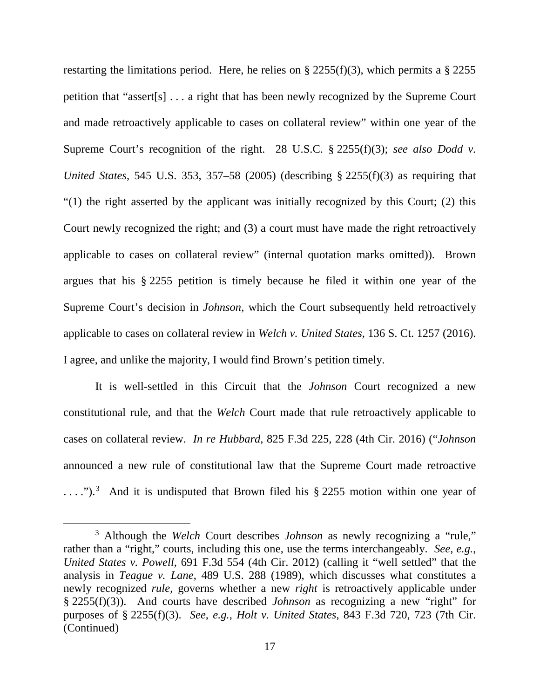restarting the limitations period. Here, he relies on  $\S 2255(f)(3)$ , which permits a  $\S 2255$ petition that "assert[s] . . . a right that has been newly recognized by the Supreme Court and made retroactively applicable to cases on collateral review" within one year of the Supreme Court's recognition of the right. 28 U.S.C. § 2255(f)(3); *see also Dodd v. United States*, 545 U.S. 353, 357–58 (2005) (describing § 2255(f)(3) as requiring that "(1) the right asserted by the applicant was initially recognized by this Court; (2) this Court newly recognized the right; and (3) a court must have made the right retroactively applicable to cases on collateral review" (internal quotation marks omitted)). Brown argues that his § 2255 petition is timely because he filed it within one year of the Supreme Court's decision in *Johnson*, which the Court subsequently held retroactively applicable to cases on collateral review in *Welch v. United States*, 136 S. Ct. 1257 (2016). I agree, and unlike the majority, I would find Brown's petition timely.

It is well-settled in this Circuit that the *Johnson* Court recognized a new constitutional rule, and that the *Welch* Court made that rule retroactively applicable to cases on collateral review. *In re Hubbard*, 825 F.3d 225, 228 (4th Cir. 2016) ("*Johnson* announced a new rule of constitutional law that the Supreme Court made retroactive  $\dots$ ").<sup>[3](#page-16-0)</sup> And it is undisputed that Brown filed his § 2255 motion within one year of

<span id="page-16-0"></span> <sup>3</sup> Although the *Welch* Court describes *Johnson* as newly recognizing a "rule," rather than a "right," courts, including this one, use the terms interchangeably. *See, e.g.*, *United States v. Powell*, 691 F.3d 554 (4th Cir. 2012) (calling it "well settled" that the analysis in *Teague v. Lane*, 489 U.S. 288 (1989), which discusses what constitutes a newly recognized *rule*, governs whether a new *right* is retroactively applicable under § 2255(f)(3)). And courts have described *Johnson* as recognizing a new "right" for purposes of § 2255(f)(3). *See, e.g.*, *Holt v. United States*, 843 F.3d 720, 723 (7th Cir. (Continued)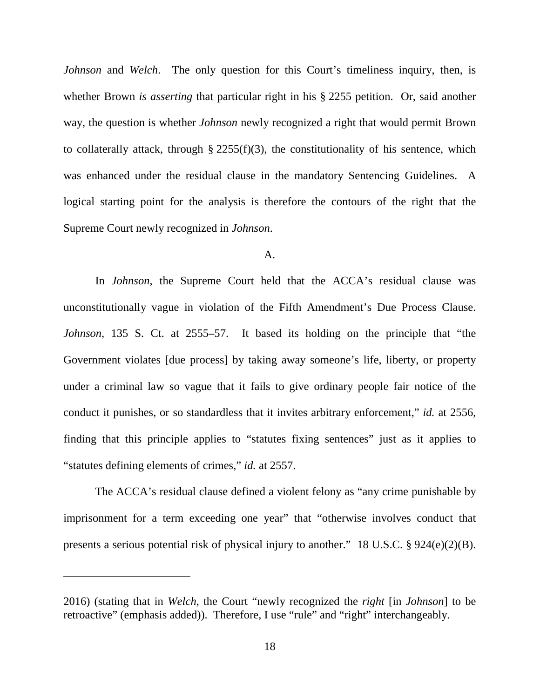*Johnson* and *Welch*. The only question for this Court's timeliness inquiry, then, is whether Brown *is asserting* that particular right in his § 2255 petition. Or, said another way, the question is whether *Johnson* newly recognized a right that would permit Brown to collaterally attack, through  $\S$  2255(f)(3), the constitutionality of his sentence, which was enhanced under the residual clause in the mandatory Sentencing Guidelines. A logical starting point for the analysis is therefore the contours of the right that the Supreme Court newly recognized in *Johnson*.

#### A.

In *Johnson*, the Supreme Court held that the ACCA's residual clause was unconstitutionally vague in violation of the Fifth Amendment's Due Process Clause. *Johnson*, 135 S. Ct. at 2555–57. It based its holding on the principle that "the Government violates [due process] by taking away someone's life, liberty, or property under a criminal law so vague that it fails to give ordinary people fair notice of the conduct it punishes, or so standardless that it invites arbitrary enforcement," *id.* at 2556, finding that this principle applies to "statutes fixing sentences" just as it applies to "statutes defining elements of crimes," *id.* at 2557.

The ACCA's residual clause defined a violent felony as "any crime punishable by imprisonment for a term exceeding one year" that "otherwise involves conduct that presents a serious potential risk of physical injury to another." 18 U.S.C. § 924(e)(2)(B).

 $\overline{a}$ 

<sup>2016) (</sup>stating that in *Welch*, the Court "newly recognized the *right* [in *Johnson*] to be retroactive" (emphasis added)). Therefore, I use "rule" and "right" interchangeably.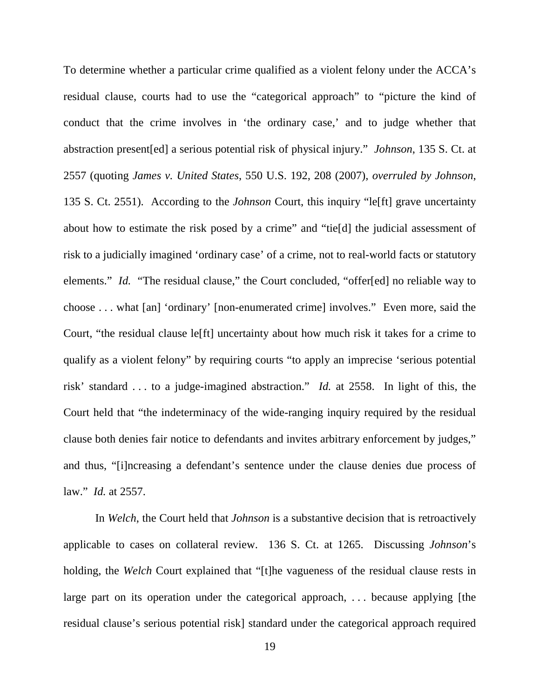To determine whether a particular crime qualified as a violent felony under the ACCA's residual clause, courts had to use the "categorical approach" to "picture the kind of conduct that the crime involves in 'the ordinary case,' and to judge whether that abstraction present[ed] a serious potential risk of physical injury." *Johnson*, 135 S. Ct. at 2557 (quoting *James v. United States*, 550 U.S. 192, 208 (2007), *overruled by Johnson*, 135 S. Ct. 2551). According to the *Johnson* Court, this inquiry "le[ft] grave uncertainty about how to estimate the risk posed by a crime" and "tie[d] the judicial assessment of risk to a judicially imagined 'ordinary case' of a crime, not to real-world facts or statutory elements." *Id.* "The residual clause," the Court concluded, "offer[ed] no reliable way to choose . . . what [an] 'ordinary' [non-enumerated crime] involves." Even more, said the Court, "the residual clause le[ft] uncertainty about how much risk it takes for a crime to qualify as a violent felony" by requiring courts "to apply an imprecise 'serious potential risk' standard . . . to a judge-imagined abstraction." *Id.* at 2558. In light of this, the Court held that "the indeterminacy of the wide-ranging inquiry required by the residual clause both denies fair notice to defendants and invites arbitrary enforcement by judges," and thus, "[i]ncreasing a defendant's sentence under the clause denies due process of law." *Id.* at 2557.

In *Welch*, the Court held that *Johnson* is a substantive decision that is retroactively applicable to cases on collateral review. 136 S. Ct. at 1265. Discussing *Johnson*'s holding, the *Welch* Court explained that "[t]he vagueness of the residual clause rests in large part on its operation under the categorical approach, ... because applying [the residual clause's serious potential risk] standard under the categorical approach required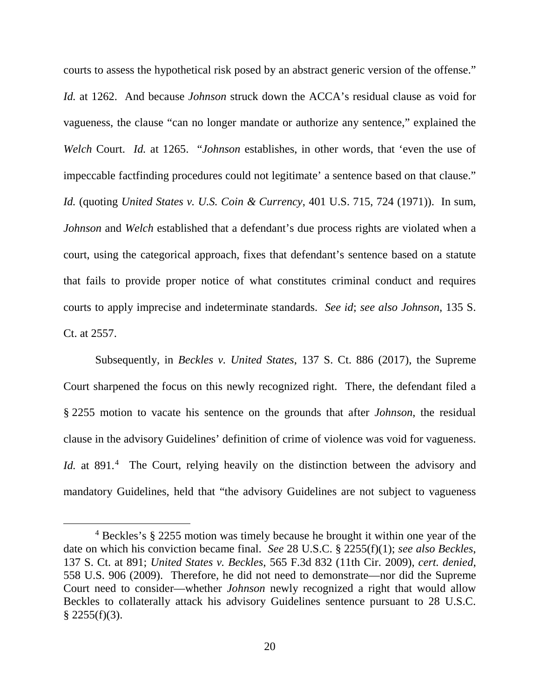courts to assess the hypothetical risk posed by an abstract generic version of the offense." *Id.* at 1262. And because *Johnson* struck down the ACCA's residual clause as void for vagueness, the clause "can no longer mandate or authorize any sentence," explained the *Welch* Court. *Id.* at 1265. "*Johnson* establishes, in other words, that 'even the use of impeccable factfinding procedures could not legitimate' a sentence based on that clause." *Id.* (quoting *United States v. U.S. Coin & Currency*, 401 U.S. 715, 724 (1971)). In sum, *Johnson* and *Welch* established that a defendant's due process rights are violated when a court, using the categorical approach, fixes that defendant's sentence based on a statute that fails to provide proper notice of what constitutes criminal conduct and requires courts to apply imprecise and indeterminate standards. *See id*; *see also Johnson*, 135 S. Ct. at 2557.

Subsequently, in *Beckles v. United States*, 137 S. Ct. 886 (2017), the Supreme Court sharpened the focus on this newly recognized right. There, the defendant filed a § 2255 motion to vacate his sentence on the grounds that after *Johnson*, the residual clause in the advisory Guidelines' definition of crime of violence was void for vagueness. Id. at 891.<sup>[4](#page-19-0)</sup> The Court, relying heavily on the distinction between the advisory and mandatory Guidelines, held that "the advisory Guidelines are not subject to vagueness

<span id="page-19-0"></span> <sup>4</sup> Beckles's § 2255 motion was timely because he brought it within one year of the date on which his conviction became final. *See* 28 U.S.C. § 2255(f)(1); *see also Beckles*, 137 S. Ct. at 891; *United States v. Beckles*, 565 F.3d 832 (11th Cir. 2009), *cert. denied*, 558 U.S. 906 (2009). Therefore, he did not need to demonstrate—nor did the Supreme Court need to consider—whether *Johnson* newly recognized a right that would allow Beckles to collaterally attack his advisory Guidelines sentence pursuant to 28 U.S.C.  $§$  2255(f)(3).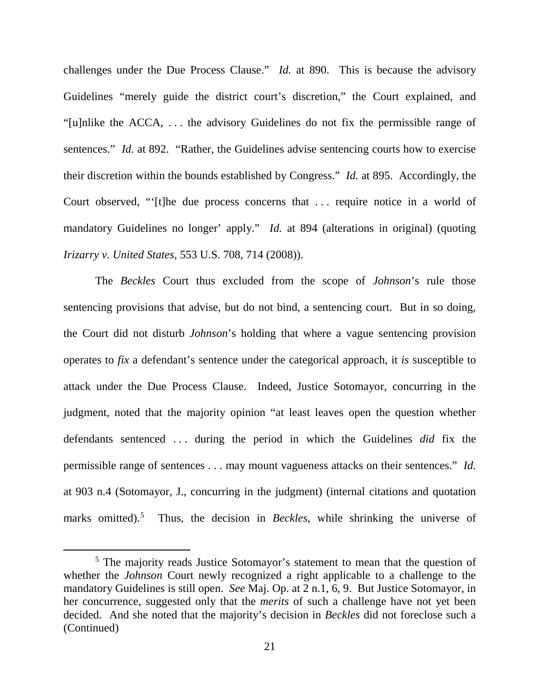challenges under the Due Process Clause." *Id.* at 890. This is because the advisory Guidelines "merely guide the district court's discretion," the Court explained, and "[u]nlike the ACCA, . . . the advisory Guidelines do not fix the permissible range of sentences." *Id.* at 892. "Rather, the Guidelines advise sentencing courts how to exercise their discretion within the bounds established by Congress." *Id.* at 895. Accordingly, the Court observed, "'[t]he due process concerns that . . . require notice in a world of mandatory Guidelines no longer' apply." *Id.* at 894 (alterations in original) (quoting *Irizarry v. United States*, 553 U.S. 708, 714 (2008)).

The *Beckles* Court thus excluded from the scope of *Johnson*'s rule those sentencing provisions that advise, but do not bind, a sentencing court. But in so doing, the Court did not disturb *Johnson*'s holding that where a vague sentencing provision operates to *fix* a defendant's sentence under the categorical approach, it *is* susceptible to attack under the Due Process Clause. Indeed, Justice Sotomayor, concurring in the judgment, noted that the majority opinion "at least leaves open the question whether defendants sentenced . . . during the period in which the Guidelines *did* fix the permissible range of sentences . . . may mount vagueness attacks on their sentences." *Id.*  at 903 n.4 (Sotomayor, J., concurring in the judgment) (internal citations and quotation marks omitted).<sup>[5](#page-20-0)</sup> Thus, the decision in *Beckles*, while shrinking the universe of

<span id="page-20-0"></span><sup>&</sup>lt;sup>5</sup> The majority reads Justice Sotomayor's statement to mean that the question of whether the *Johnson* Court newly recognized a right applicable to a challenge to the mandatory Guidelines is still open. *See* Maj. Op. at 2 n.1, 6, 9. But Justice Sotomayor, in her concurrence, suggested only that the *merits* of such a challenge have not yet been decided. And she noted that the majority's decision in *Beckles* did not foreclose such a (Continued)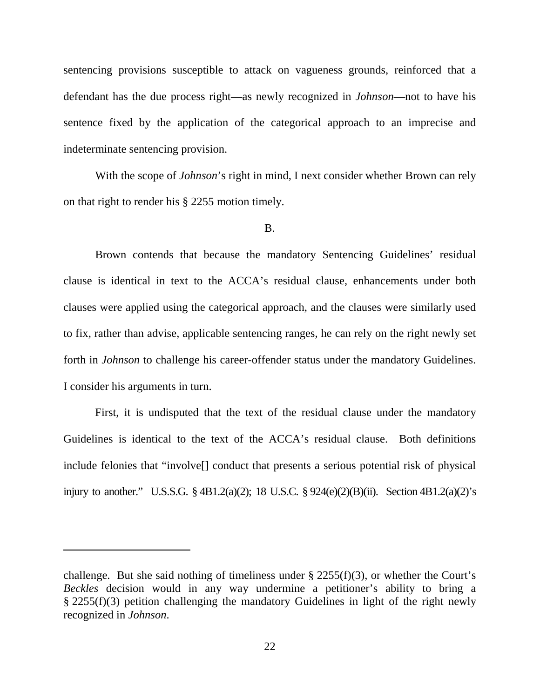sentencing provisions susceptible to attack on vagueness grounds, reinforced that a defendant has the due process right—as newly recognized in *Johnson*—not to have his sentence fixed by the application of the categorical approach to an imprecise and indeterminate sentencing provision.

With the scope of *Johnson*'s right in mind, I next consider whether Brown can rely on that right to render his § 2255 motion timely.

# B.

Brown contends that because the mandatory Sentencing Guidelines' residual clause is identical in text to the ACCA's residual clause, enhancements under both clauses were applied using the categorical approach, and the clauses were similarly used to fix, rather than advise, applicable sentencing ranges, he can rely on the right newly set forth in *Johnson* to challenge his career-offender status under the mandatory Guidelines. I consider his arguments in turn.

First, it is undisputed that the text of the residual clause under the mandatory Guidelines is identical to the text of the ACCA's residual clause. Both definitions include felonies that "involve[] conduct that presents a serious potential risk of physical injury to another." U.S.S.G. § 4B1.2(a)(2); 18 U.S.C. § 924(e)(2)(B)(ii). Section 4B1.2(a)(2)'s

 $\overline{a}$ 

challenge. But she said nothing of timeliness under  $\S$  2255(f)(3), or whether the Court's *Beckles* decision would in any way undermine a petitioner's ability to bring a § 2255(f)(3) petition challenging the mandatory Guidelines in light of the right newly recognized in *Johnson*.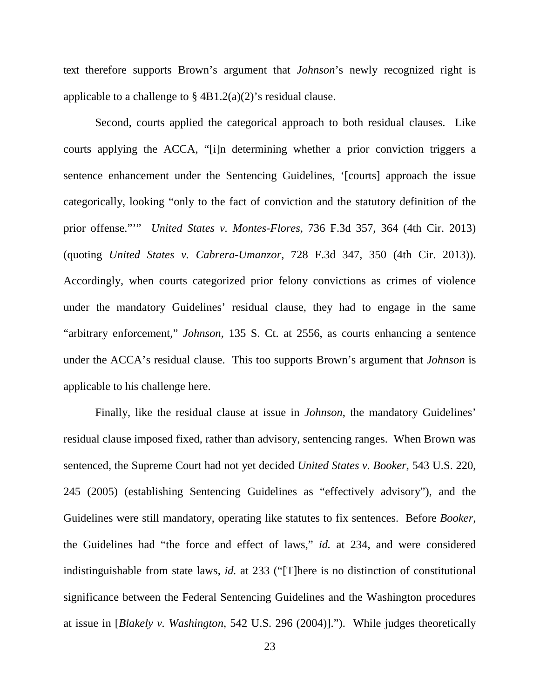text therefore supports Brown's argument that *Johnson*'s newly recognized right is applicable to a challenge to  $\S$  4B1.2(a)(2)'s residual clause.

Second, courts applied the categorical approach to both residual clauses. Like courts applying the ACCA, "[i]n determining whether a prior conviction triggers a sentence enhancement under the Sentencing Guidelines, '[courts] approach the issue categorically, looking "only to the fact of conviction and the statutory definition of the prior offense."'" *United States v. Montes-Flores*, 736 F.3d 357, 364 (4th Cir. 2013) (quoting *United States v. Cabrera-Umanzor*, 728 F.3d 347, 350 (4th Cir. 2013)). Accordingly, when courts categorized prior felony convictions as crimes of violence under the mandatory Guidelines' residual clause, they had to engage in the same "arbitrary enforcement," *Johnson*, 135 S. Ct. at 2556, as courts enhancing a sentence under the ACCA's residual clause. This too supports Brown's argument that *Johnson* is applicable to his challenge here.

Finally, like the residual clause at issue in *Johnson*, the mandatory Guidelines' residual clause imposed fixed, rather than advisory, sentencing ranges. When Brown was sentenced, the Supreme Court had not yet decided *United States v. Booker*, 543 U.S. 220, 245 (2005) (establishing Sentencing Guidelines as "effectively advisory"), and the Guidelines were still mandatory, operating like statutes to fix sentences. Before *Booker*, the Guidelines had "the force and effect of laws," *id.* at 234, and were considered indistinguishable from state laws, *id.* at 233 ("[T]here is no distinction of constitutional significance between the Federal Sentencing Guidelines and the Washington procedures at issue in [*Blakely v. Washington*, 542 U.S. 296 (2004)]."). While judges theoretically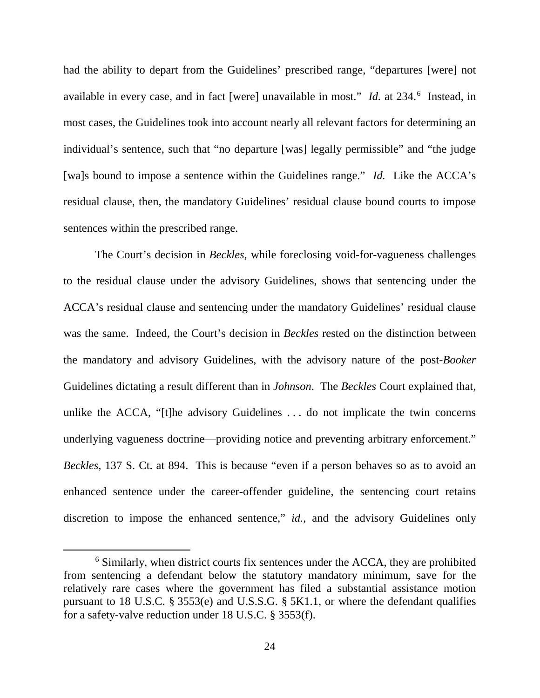had the ability to depart from the Guidelines' prescribed range, "departures [were] not available in every case, and in fact [were] unavailable in most." *Id.* at 234.<sup>[6](#page-23-0)</sup> Instead, in most cases, the Guidelines took into account nearly all relevant factors for determining an individual's sentence, such that "no departure [was] legally permissible" and "the judge [wa]s bound to impose a sentence within the Guidelines range." *Id.* Like the ACCA's residual clause, then, the mandatory Guidelines' residual clause bound courts to impose sentences within the prescribed range.

The Court's decision in *Beckles*, while foreclosing void-for-vagueness challenges to the residual clause under the advisory Guidelines, shows that sentencing under the ACCA's residual clause and sentencing under the mandatory Guidelines' residual clause was the same. Indeed, the Court's decision in *Beckles* rested on the distinction between the mandatory and advisory Guidelines, with the advisory nature of the post-*Booker*  Guidelines dictating a result different than in *Johnson*. The *Beckles* Court explained that, unlike the ACCA, "[t]he advisory Guidelines . . . do not implicate the twin concerns underlying vagueness doctrine—providing notice and preventing arbitrary enforcement." *Beckles*, 137 S. Ct. at 894. This is because "even if a person behaves so as to avoid an enhanced sentence under the career-offender guideline, the sentencing court retains discretion to impose the enhanced sentence," *id.*, and the advisory Guidelines only

<span id="page-23-0"></span> <sup>6</sup> Similarly, when district courts fix sentences under the ACCA, they are prohibited from sentencing a defendant below the statutory mandatory minimum, save for the relatively rare cases where the government has filed a substantial assistance motion pursuant to 18 U.S.C. § 3553(e) and U.S.S.G. § 5K1.1, or where the defendant qualifies for a safety-valve reduction under 18 U.S.C. § 3553(f).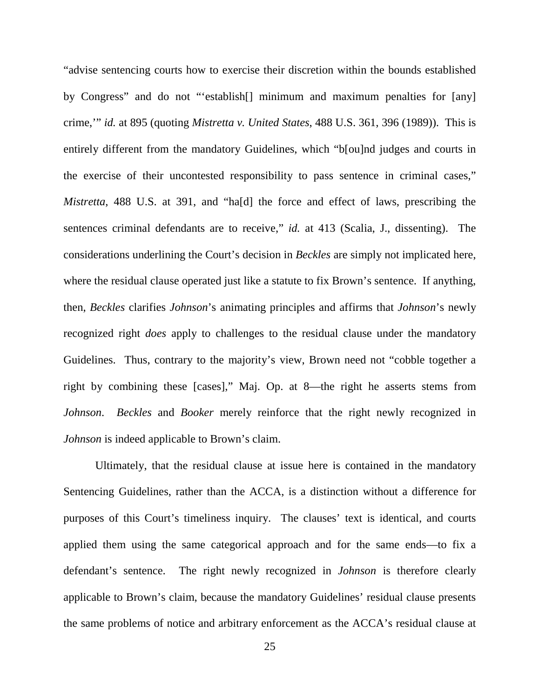"advise sentencing courts how to exercise their discretion within the bounds established by Congress" and do not "'establish[] minimum and maximum penalties for [any] crime,'" *id.* at 895 (quoting *Mistretta v. United States*, 488 U.S. 361, 396 (1989)). This is entirely different from the mandatory Guidelines, which "b[ou]nd judges and courts in the exercise of their uncontested responsibility to pass sentence in criminal cases," *Mistretta*, 488 U.S. at 391, and "ha[d] the force and effect of laws, prescribing the sentences criminal defendants are to receive," *id.* at 413 (Scalia, J., dissenting). The considerations underlining the Court's decision in *Beckles* are simply not implicated here, where the residual clause operated just like a statute to fix Brown's sentence. If anything, then, *Beckles* clarifies *Johnson*'s animating principles and affirms that *Johnson*'s newly recognized right *does* apply to challenges to the residual clause under the mandatory Guidelines. Thus, contrary to the majority's view, Brown need not "cobble together a right by combining these [cases]," Maj. Op. at 8—the right he asserts stems from *Johnson*. *Beckles* and *Booker* merely reinforce that the right newly recognized in *Johnson* is indeed applicable to Brown's claim.

Ultimately, that the residual clause at issue here is contained in the mandatory Sentencing Guidelines, rather than the ACCA, is a distinction without a difference for purposes of this Court's timeliness inquiry. The clauses' text is identical, and courts applied them using the same categorical approach and for the same ends—to fix a defendant's sentence. The right newly recognized in *Johnson* is therefore clearly applicable to Brown's claim, because the mandatory Guidelines' residual clause presents the same problems of notice and arbitrary enforcement as the ACCA's residual clause at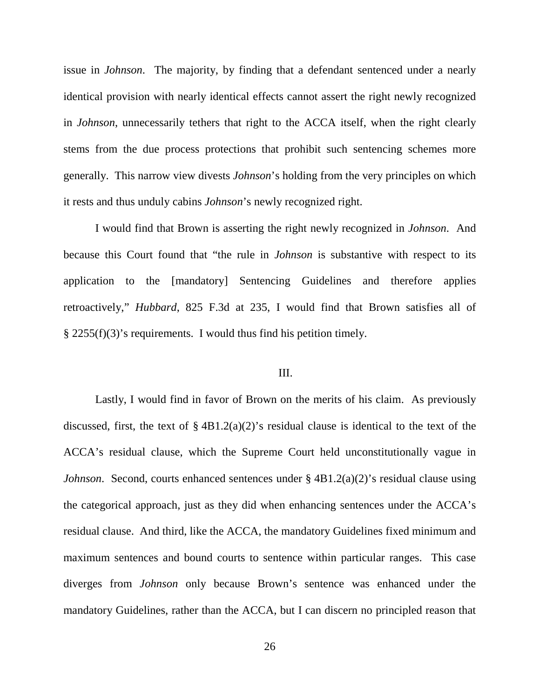issue in *Johnson*. The majority, by finding that a defendant sentenced under a nearly identical provision with nearly identical effects cannot assert the right newly recognized in *Johnson*, unnecessarily tethers that right to the ACCA itself, when the right clearly stems from the due process protections that prohibit such sentencing schemes more generally. This narrow view divests *Johnson*'s holding from the very principles on which it rests and thus unduly cabins *Johnson*'s newly recognized right.

I would find that Brown is asserting the right newly recognized in *Johnson*. And because this Court found that "the rule in *Johnson* is substantive with respect to its application to the [mandatory] Sentencing Guidelines and therefore applies retroactively," *Hubbard*, 825 F.3d at 235, I would find that Brown satisfies all of § 2255(f)(3)'s requirements. I would thus find his petition timely.

# III.

Lastly, I would find in favor of Brown on the merits of his claim. As previously discussed, first, the text of  $\S$  4B1.2(a)(2)'s residual clause is identical to the text of the ACCA's residual clause, which the Supreme Court held unconstitutionally vague in *Johnson*. Second, courts enhanced sentences under § 4B1.2(a)(2)'s residual clause using the categorical approach, just as they did when enhancing sentences under the ACCA's residual clause. And third, like the ACCA, the mandatory Guidelines fixed minimum and maximum sentences and bound courts to sentence within particular ranges. This case diverges from *Johnson* only because Brown's sentence was enhanced under the mandatory Guidelines, rather than the ACCA, but I can discern no principled reason that